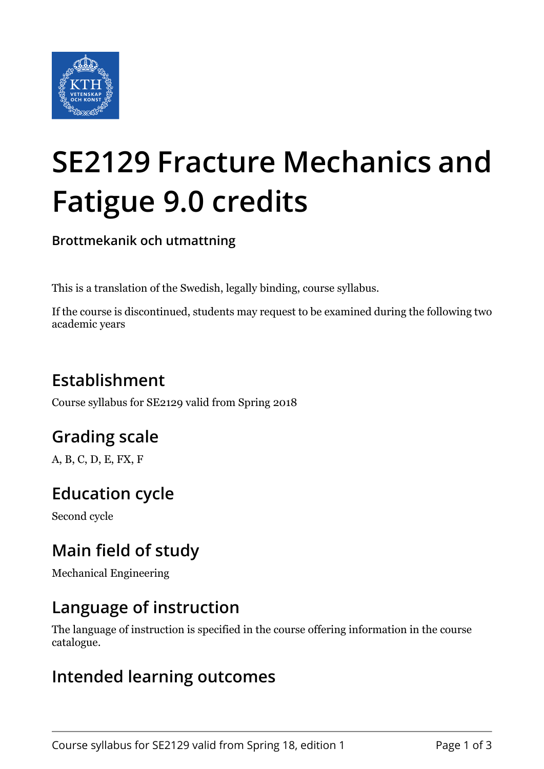

# **SE2129 Fracture Mechanics and Fatigue 9.0 credits**

**Brottmekanik och utmattning**

This is a translation of the Swedish, legally binding, course syllabus.

If the course is discontinued, students may request to be examined during the following two academic years

## **Establishment**

Course syllabus for SE2129 valid from Spring 2018

## **Grading scale**

A, B, C, D, E, FX, F

#### **Education cycle**

Second cycle

#### **Main field of study**

Mechanical Engineering

#### **Language of instruction**

The language of instruction is specified in the course offering information in the course catalogue.

#### **Intended learning outcomes**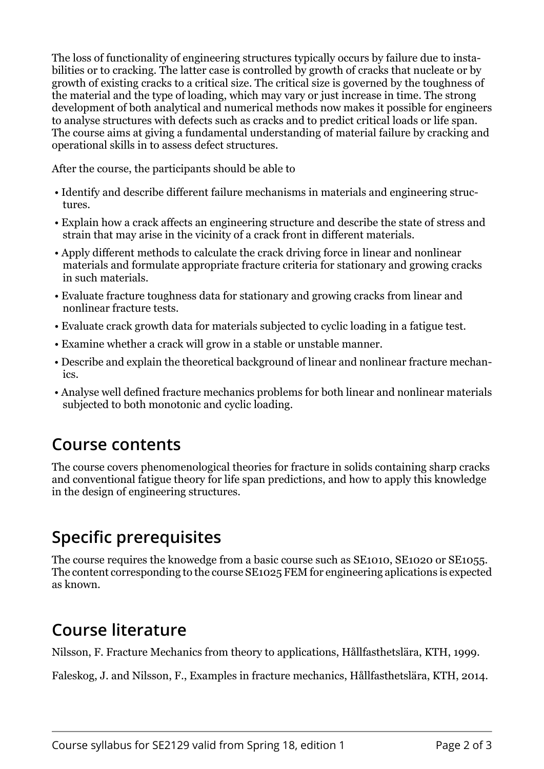The loss of functionality of engineering structures typically occurs by failure due to instabilities or to cracking. The latter case is controlled by growth of cracks that nucleate or by growth of existing cracks to a critical size. The critical size is governed by the toughness of the material and the type of loading, which may vary or just increase in time. The strong development of both analytical and numerical methods now makes it possible for engineers to analyse structures with defects such as cracks and to predict critical loads or life span. The course aims at giving a fundamental understanding of material failure by cracking and operational skills in to assess defect structures.

After the course, the participants should be able to

- Identify and describe different failure mechanisms in materials and engineering structures.
- Explain how a crack affects an engineering structure and describe the state of stress and strain that may arise in the vicinity of a crack front in different materials.
- Apply different methods to calculate the crack driving force in linear and nonlinear materials and formulate appropriate fracture criteria for stationary and growing cracks in such materials.
- Evaluate fracture toughness data for stationary and growing cracks from linear and nonlinear fracture tests.
- Evaluate crack growth data for materials subjected to cyclic loading in a fatigue test.
- Examine whether a crack will grow in a stable or unstable manner.
- Describe and explain the theoretical background of linear and nonlinear fracture mechanics.
- Analyse well defined fracture mechanics problems for both linear and nonlinear materials subjected to both monotonic and cyclic loading.

#### **Course contents**

The course covers phenomenological theories for fracture in solids containing sharp cracks and conventional fatigue theory for life span predictions, and how to apply this knowledge in the design of engineering structures.

## **Specific prerequisites**

The course requires the knowedge from a basic course such as SE1010, SE1020 or SE1055. The content corresponding to the course SE1025 FEM for engineering aplications is expected as known.

#### **Course literature**

Nilsson, F. Fracture Mechanics from theory to applications, Hållfasthetslära, KTH, 1999.

Faleskog, J. and Nilsson, F., Examples in fracture mechanics, Hållfasthetslära, KTH, 2014.